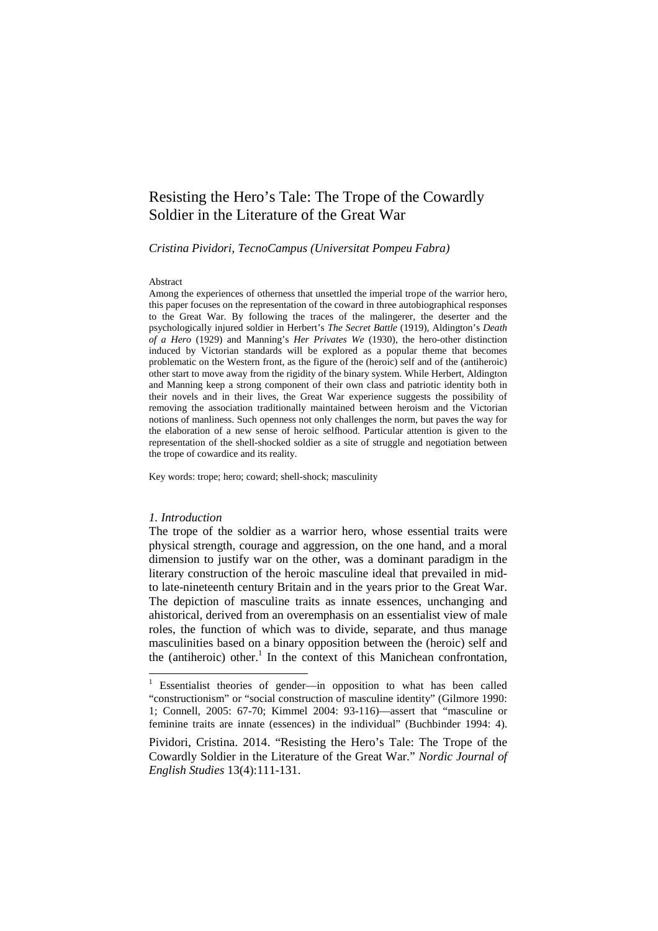# Resisting the Hero's Tale: The Trope of the Cowardly Soldier in the Literature of the Great War

*Cristina Pividori, TecnoCampus (Universitat Pompeu Fabra)* 

#### Abstract

Among the experiences of otherness that unsettled the imperial trope of the warrior hero, this paper focuses on the representation of the coward in three autobiographical responses to the Great War. By following the traces of the malingerer, the deserter and the psychologically injured soldier in Herbert's *The Secret Battle* (1919), Aldington's *Death of a Hero* (1929) and Manning's *Her Privates We* (1930), the hero-other distinction induced by Victorian standards will be explored as a popular theme that becomes problematic on the Western front, as the figure of the (heroic) self and of the (antiheroic) other start to move away from the rigidity of the binary system. While Herbert, Aldington and Manning keep a strong component of their own class and patriotic identity both in their novels and in their lives, the Great War experience suggests the possibility of removing the association traditionally maintained between heroism and the Victorian notions of manliness. Such openness not only challenges the norm, but paves the way for the elaboration of a new sense of heroic selfhood. Particular attention is given to the representation of the shell-shocked soldier as a site of struggle and negotiation between the trope of cowardice and its reality.

Key words: trope; hero; coward; shell-shock; masculinity

#### *1. Introduction*

 $\overline{a}$ 

The trope of the soldier as a warrior hero, whose essential traits were physical strength, courage and aggression, on the one hand, and a moral dimension to justify war on the other, was a dominant paradigm in the literary construction of the heroic masculine ideal that prevailed in midto late-nineteenth century Britain and in the years prior to the Great War. The depiction of masculine traits as innate essences, unchanging and ahistorical, derived from an overemphasis on an essentialist view of male roles, the function of which was to divide, separate, and thus manage masculinities based on a binary opposition between the (heroic) self and the (antiheroic) other.<sup>1</sup> In the context of this Manichean confrontation,

<sup>&</sup>lt;sup>1</sup> Essentialist theories of gender—in opposition to what has been called "constructionism" or "social construction of masculine identity" (Gilmore 1990: 1; Connell, 2005: 67-70; Kimmel 2004: 93-116)—assert that "masculine or feminine traits are innate (essences) in the individual" (Buchbinder 1994: 4).

Pividori, Cristina. 2014. "Resisting the Hero's Tale: The Trope of the Cowardly Soldier in the Literature of the Great War." *Nordic Journal of English Studies* 13(4):111-131.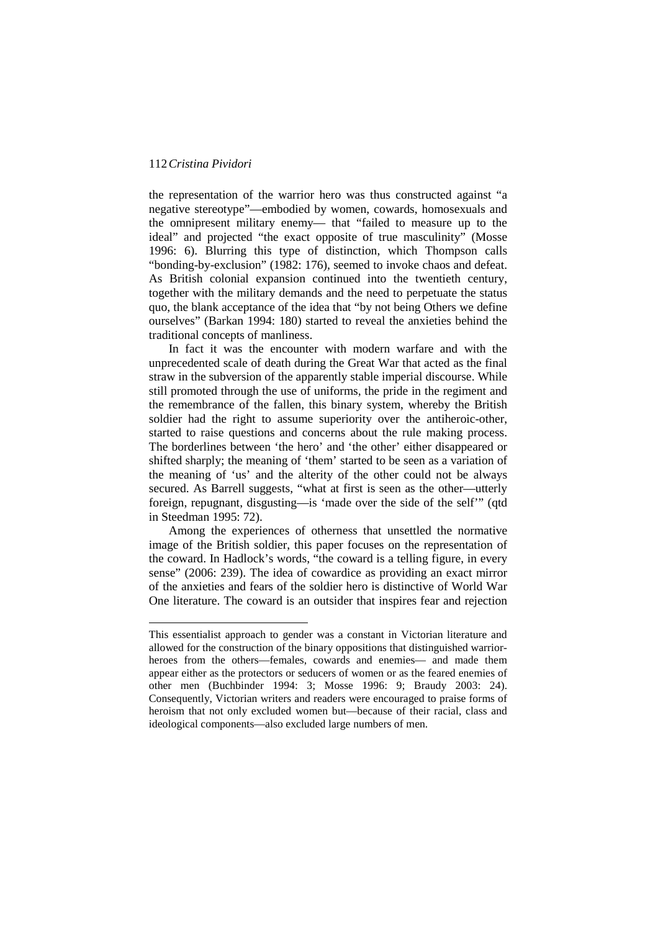$\overline{a}$ 

the representation of the warrior hero was thus constructed against "a negative stereotype"—embodied by women, cowards, homosexuals and the omnipresent military enemy— that "failed to measure up to the ideal" and projected "the exact opposite of true masculinity" (Mosse 1996: 6). Blurring this type of distinction, which Thompson calls "bonding-by-exclusion" (1982: 176), seemed to invoke chaos and defeat. As British colonial expansion continued into the twentieth century, together with the military demands and the need to perpetuate the status quo, the blank acceptance of the idea that "by not being Others we define ourselves" (Barkan 1994: 180) started to reveal the anxieties behind the traditional concepts of manliness.

In fact it was the encounter with modern warfare and with the unprecedented scale of death during the Great War that acted as the final straw in the subversion of the apparently stable imperial discourse. While still promoted through the use of uniforms, the pride in the regiment and the remembrance of the fallen, this binary system, whereby the British soldier had the right to assume superiority over the antiheroic-other, started to raise questions and concerns about the rule making process. The borderlines between 'the hero' and 'the other' either disappeared or shifted sharply; the meaning of 'them' started to be seen as a variation of the meaning of 'us' and the alterity of the other could not be always secured. As Barrell suggests, "what at first is seen as the other—utterly foreign, repugnant, disgusting—is 'made over the side of the self'" (qtd in Steedman 1995: 72).

Among the experiences of otherness that unsettled the normative image of the British soldier, this paper focuses on the representation of the coward. In Hadlock's words, "the coward is a telling figure, in every sense" (2006: 239). The idea of cowardice as providing an exact mirror of the anxieties and fears of the soldier hero is distinctive of World War One literature. The coward is an outsider that inspires fear and rejection

This essentialist approach to gender was a constant in Victorian literature and allowed for the construction of the binary oppositions that distinguished warriorheroes from the others—females, cowards and enemies— and made them appear either as the protectors or seducers of women or as the feared enemies of other men (Buchbinder 1994: 3; Mosse 1996: 9; Braudy 2003: 24). Consequently, Victorian writers and readers were encouraged to praise forms of heroism that not only excluded women but—because of their racial, class and ideological components—also excluded large numbers of men.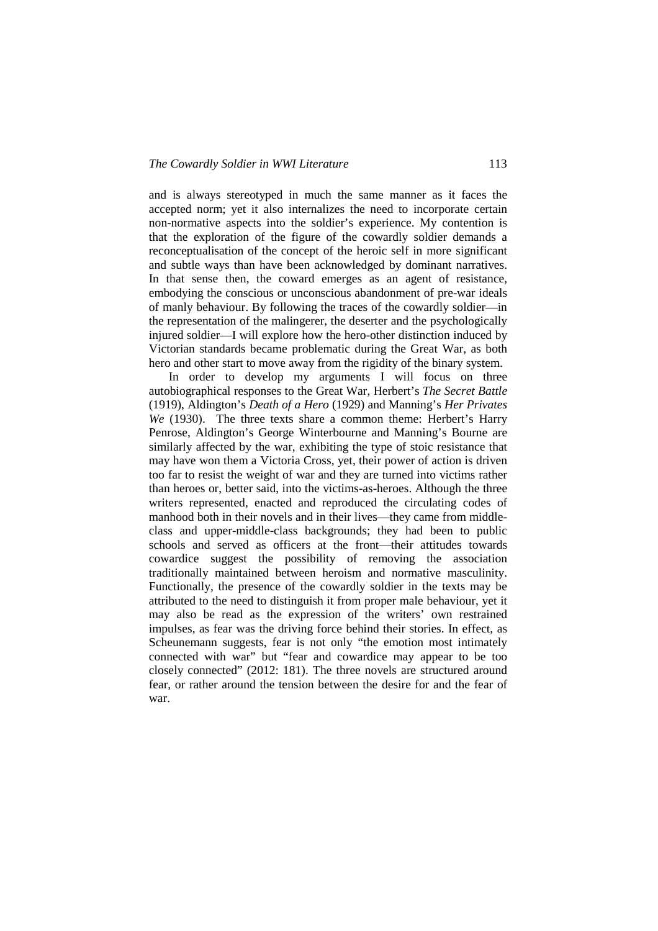and is always stereotyped in much the same manner as it faces the accepted norm; yet it also internalizes the need to incorporate certain non-normative aspects into the soldier's experience. My contention is that the exploration of the figure of the cowardly soldier demands a reconceptualisation of the concept of the heroic self in more significant and subtle ways than have been acknowledged by dominant narratives. In that sense then, the coward emerges as an agent of resistance, embodying the conscious or unconscious abandonment of pre-war ideals of manly behaviour. By following the traces of the cowardly soldier—in the representation of the malingerer, the deserter and the psychologically injured soldier—I will explore how the hero-other distinction induced by Victorian standards became problematic during the Great War, as both hero and other start to move away from the rigidity of the binary system.

In order to develop my arguments I will focus on three autobiographical responses to the Great War, Herbert's *The Secret Battle* (1919), Aldington's *Death of a Hero* (1929) and Manning's *Her Privates We* (1930). The three texts share a common theme: Herbert's Harry Penrose, Aldington's George Winterbourne and Manning's Bourne are similarly affected by the war, exhibiting the type of stoic resistance that may have won them a Victoria Cross, yet, their power of action is driven too far to resist the weight of war and they are turned into victims rather than heroes or, better said, into the victims-as-heroes. Although the three writers represented, enacted and reproduced the circulating codes of manhood both in their novels and in their lives—they came from middleclass and upper-middle-class backgrounds; they had been to public schools and served as officers at the front—their attitudes towards cowardice suggest the possibility of removing the association traditionally maintained between heroism and normative masculinity. Functionally, the presence of the cowardly soldier in the texts may be attributed to the need to distinguish it from proper male behaviour, yet it may also be read as the expression of the writers' own restrained impulses, as fear was the driving force behind their stories. In effect, as Scheunemann suggests, fear is not only "the emotion most intimately connected with war" but "fear and cowardice may appear to be too closely connected" (2012: 181). The three novels are structured around fear, or rather around the tension between the desire for and the fear of war.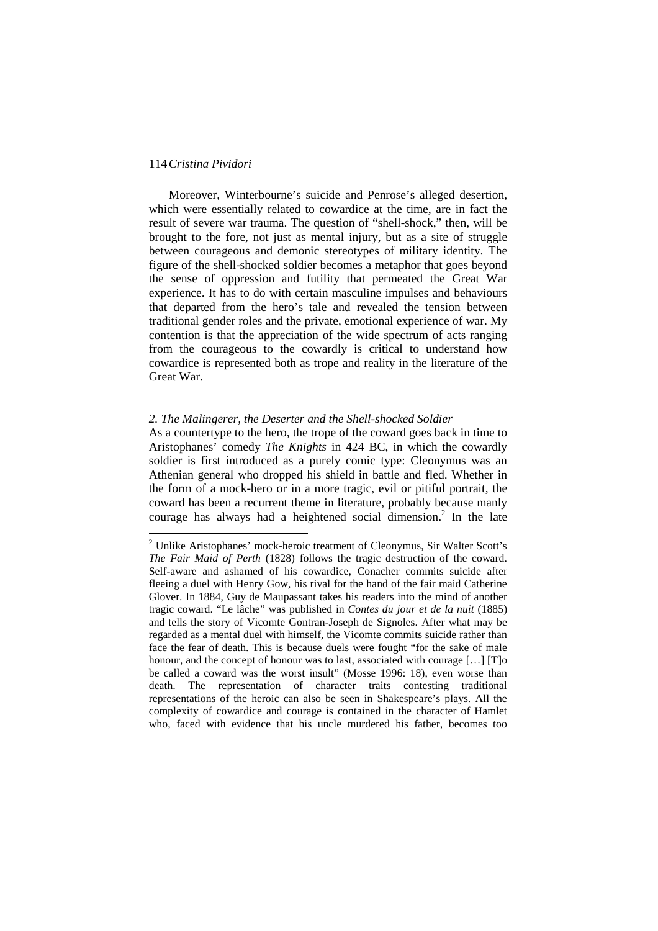l

Moreover, Winterbourne's suicide and Penrose's alleged desertion, which were essentially related to cowardice at the time, are in fact the result of severe war trauma. The question of "shell-shock," then, will be brought to the fore, not just as mental injury, but as a site of struggle between courageous and demonic stereotypes of military identity. The figure of the shell-shocked soldier becomes a metaphor that goes beyond the sense of oppression and futility that permeated the Great War experience. It has to do with certain masculine impulses and behaviours that departed from the hero's tale and revealed the tension between traditional gender roles and the private, emotional experience of war. My contention is that the appreciation of the wide spectrum of acts ranging from the courageous to the cowardly is critical to understand how cowardice is represented both as trope and reality in the literature of the Great War.

#### *2. The Malingerer, the Deserter and the Shell-shocked Soldier*

As a countertype to the hero, the trope of the coward goes back in time to Aristophanes' comedy *The Knights* in 424 BC, in which the cowardly soldier is first introduced as a purely comic type: Cleonymus was an Athenian general who dropped his shield in battle and fled. Whether in the form of a mock-hero or in a more tragic, evil or pitiful portrait, the coward has been a recurrent theme in literature, probably because manly courage has always had a heightened social dimension.<sup>2</sup> In the late

<sup>&</sup>lt;sup>2</sup> Unlike Aristophanes' mock-heroic treatment of Cleonymus, Sir Walter Scott's *The Fair Maid of Perth* (1828) follows the tragic destruction of the coward. Self-aware and ashamed of his cowardice, Conacher commits suicide after fleeing a duel with Henry Gow, his rival for the hand of the fair maid Catherine Glover. In 1884, Guy de Maupassant takes his readers into the mind of another tragic coward. "Le lâche" was published in *Contes du jour et de la nuit* (1885) and tells the story of Vicomte Gontran-Joseph de Signoles. After what may be regarded as a mental duel with himself, the Vicomte commits suicide rather than face the fear of death. This is because duels were fought "for the sake of male honour, and the concept of honour was to last, associated with courage [...] [T]o be called a coward was the worst insult" (Mosse 1996: 18), even worse than death. The representation of character traits contesting traditional representations of the heroic can also be seen in Shakespeare's plays. All the complexity of cowardice and courage is contained in the character of Hamlet who, faced with evidence that his uncle murdered his father, becomes too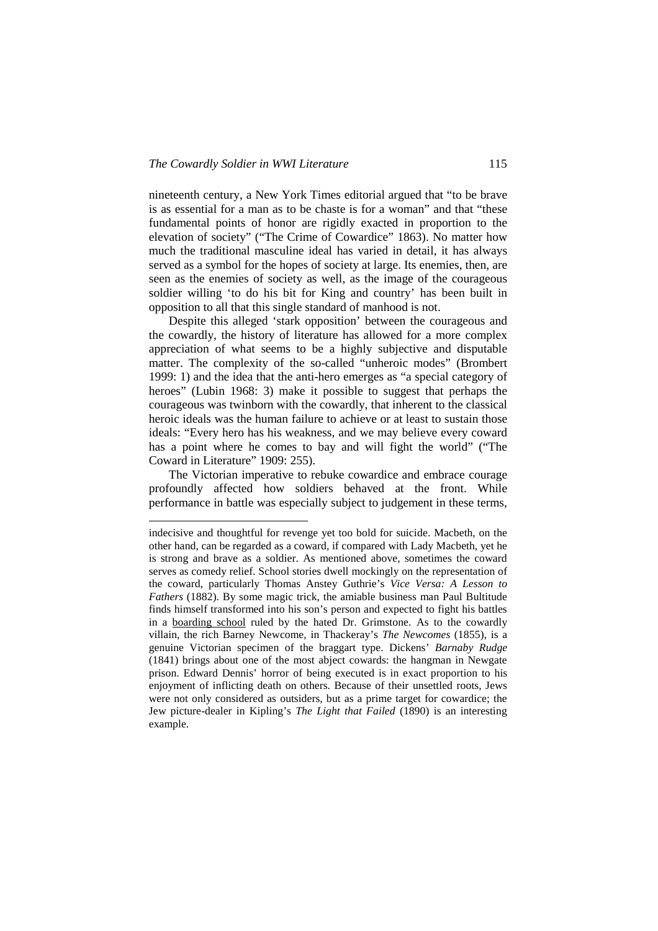$\overline{a}$ 

nineteenth century, a New York Times editorial argued that "to be brave is as essential for a man as to be chaste is for a woman" and that "these fundamental points of honor are rigidly exacted in proportion to the elevation of society" ("The Crime of Cowardice" 1863). No matter how much the traditional masculine ideal has varied in detail, it has always served as a symbol for the hopes of society at large. Its enemies, then, are seen as the enemies of society as well, as the image of the courageous soldier willing 'to do his bit for King and country' has been built in opposition to all that this single standard of manhood is not.

Despite this alleged 'stark opposition' between the courageous and the cowardly, the history of literature has allowed for a more complex appreciation of what seems to be a highly subjective and disputable matter. The complexity of the so-called "unheroic modes" (Brombert 1999: 1) and the idea that the anti-hero emerges as "a special category of heroes" (Lubin 1968: 3) make it possible to suggest that perhaps the courageous was twinborn with the cowardly, that inherent to the classical heroic ideals was the human failure to achieve or at least to sustain those ideals: "Every hero has his weakness, and we may believe every coward has a point where he comes to bay and will fight the world" ("The Coward in Literature" 1909: 255).

The Victorian imperative to rebuke cowardice and embrace courage profoundly affected how soldiers behaved at the front. While performance in battle was especially subject to judgement in these terms,

indecisive and thoughtful for revenge yet too bold for suicide. Macbeth, on the other hand, can be regarded as a coward, if compared with Lady Macbeth, yet he is strong and brave as a soldier. As mentioned above, sometimes the coward serves as comedy relief. School stories dwell mockingly on the representation of the coward, particularly Thomas Anstey Guthrie's *Vice Versa: A Lesson to Fathers* (1882). By some magic trick, the amiable business man Paul Bultitude finds himself transformed into his son's person and expected to fight his battles in a boarding school ruled by the hated Dr. Grimstone. As to the cowardly villain, the rich Barney Newcome, in Thackeray's *The Newcomes* (1855), is a genuine Victorian specimen of the braggart type. Dickens' *Barnaby Rudge* (1841) brings about one of the most abject cowards: the hangman in Newgate prison. Edward Dennis' horror of being executed is in exact proportion to his enjoyment of inflicting death on others. Because of their unsettled roots, Jews were not only considered as outsiders, but as a prime target for cowardice; the Jew picture-dealer in Kipling's *The Light that Failed* (1890) is an interesting example.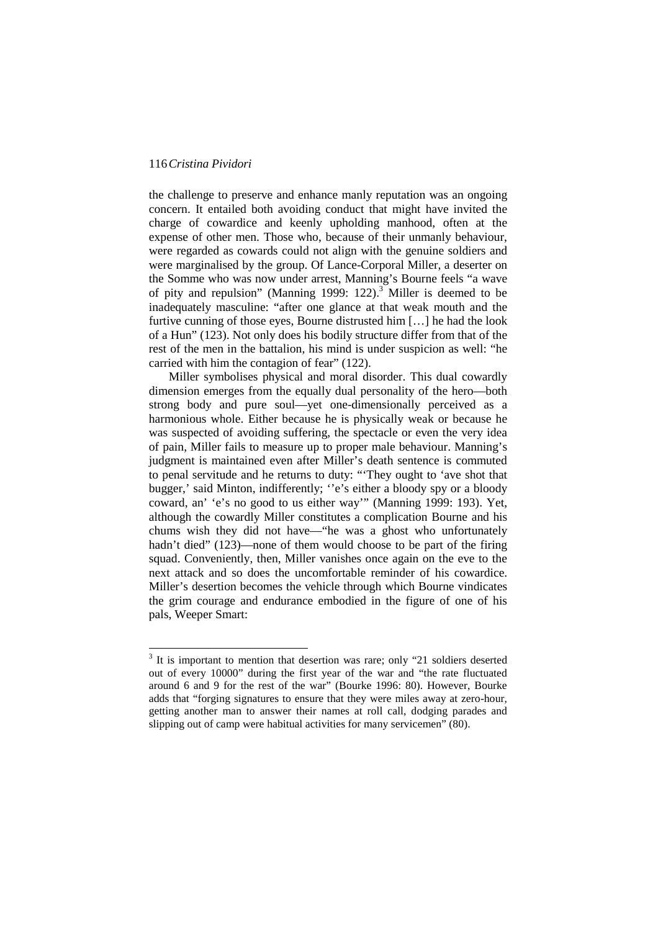l

the challenge to preserve and enhance manly reputation was an ongoing concern. It entailed both avoiding conduct that might have invited the charge of cowardice and keenly upholding manhood, often at the expense of other men. Those who, because of their unmanly behaviour, were regarded as cowards could not align with the genuine soldiers and were marginalised by the group. Of Lance-Corporal Miller, a deserter on the Somme who was now under arrest, Manning's Bourne feels "a wave of pity and repulsion" (Manning 1999:  $122$ ).<sup>3</sup> Miller is deemed to be inadequately masculine: "after one glance at that weak mouth and the furtive cunning of those eyes, Bourne distrusted him […] he had the look of a Hun" (123). Not only does his bodily structure differ from that of the rest of the men in the battalion, his mind is under suspicion as well: "he carried with him the contagion of fear" (122).

Miller symbolises physical and moral disorder. This dual cowardly dimension emerges from the equally dual personality of the hero—both strong body and pure soul—yet one-dimensionally perceived as a harmonious whole. Either because he is physically weak or because he was suspected of avoiding suffering, the spectacle or even the very idea of pain, Miller fails to measure up to proper male behaviour. Manning's judgment is maintained even after Miller's death sentence is commuted to penal servitude and he returns to duty: "'They ought to 'ave shot that bugger,' said Minton, indifferently; ''e's either a bloody spy or a bloody coward, an' 'e's no good to us either way'" (Manning 1999: 193). Yet, although the cowardly Miller constitutes a complication Bourne and his chums wish they did not have—"he was a ghost who unfortunately hadn't died" (123)—none of them would choose to be part of the firing squad. Conveniently, then, Miller vanishes once again on the eve to the next attack and so does the uncomfortable reminder of his cowardice. Miller's desertion becomes the vehicle through which Bourne vindicates the grim courage and endurance embodied in the figure of one of his pals, Weeper Smart:

 $3$  It is important to mention that desertion was rare; only "21 soldiers deserted out of every 10000" during the first year of the war and "the rate fluctuated around 6 and 9 for the rest of the war" (Bourke 1996: 80). However, Bourke adds that "forging signatures to ensure that they were miles away at zero-hour, getting another man to answer their names at roll call, dodging parades and slipping out of camp were habitual activities for many servicemen" (80).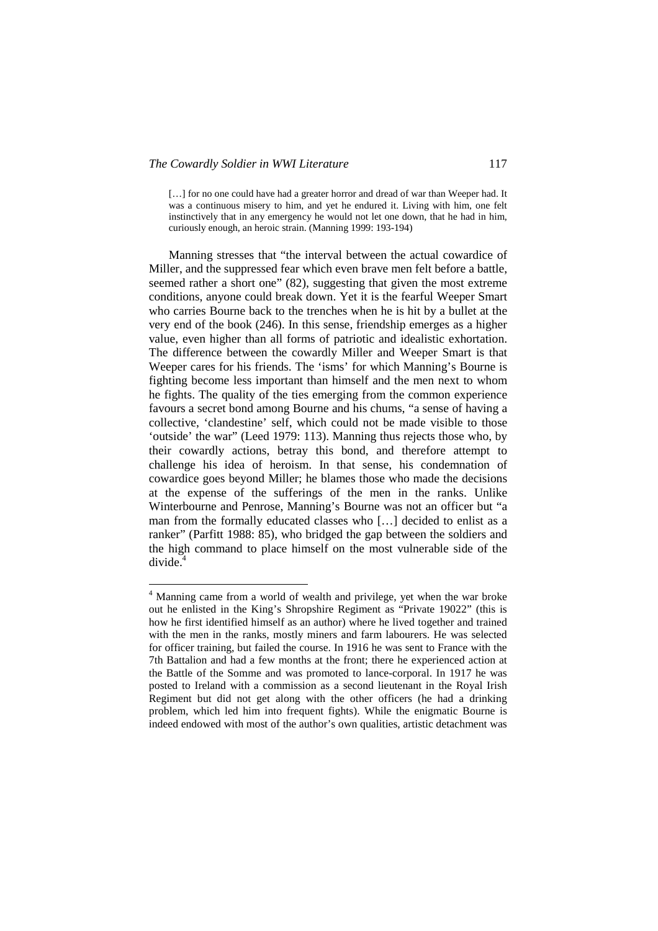[...] for no one could have had a greater horror and dread of war than Weeper had. It was a continuous misery to him, and yet he endured it. Living with him, one felt instinctively that in any emergency he would not let one down, that he had in him, curiously enough, an heroic strain. (Manning 1999: 193-194)

Manning stresses that "the interval between the actual cowardice of Miller, and the suppressed fear which even brave men felt before a battle, seemed rather a short one" (82), suggesting that given the most extreme conditions, anyone could break down. Yet it is the fearful Weeper Smart who carries Bourne back to the trenches when he is hit by a bullet at the very end of the book (246). In this sense, friendship emerges as a higher value, even higher than all forms of patriotic and idealistic exhortation. The difference between the cowardly Miller and Weeper Smart is that Weeper cares for his friends. The 'isms' for which Manning's Bourne is fighting become less important than himself and the men next to whom he fights. The quality of the ties emerging from the common experience favours a secret bond among Bourne and his chums, "a sense of having a collective, 'clandestine' self, which could not be made visible to those 'outside' the war" (Leed 1979: 113). Manning thus rejects those who, by their cowardly actions, betray this bond, and therefore attempt to challenge his idea of heroism. In that sense, his condemnation of cowardice goes beyond Miller; he blames those who made the decisions at the expense of the sufferings of the men in the ranks. Unlike Winterbourne and Penrose, Manning's Bourne was not an officer but "a man from the formally educated classes who […] decided to enlist as a ranker" (Parfitt 1988: 85), who bridged the gap between the soldiers and the high command to place himself on the most vulnerable side of the  $divide<sup>4</sup>$ 

 4 Manning came from a world of wealth and privilege, yet when the war broke out he enlisted in the King's Shropshire Regiment as "Private 19022" (this is how he first identified himself as an author) where he lived together and trained with the men in the ranks, mostly miners and farm labourers. He was selected for officer training, but failed the course. In 1916 he was sent to France with the 7th Battalion and had a few months at the front; there he experienced action at the Battle of the Somme and was promoted to lance-corporal. In 1917 he was posted to Ireland with a commission as a second lieutenant in the Royal Irish Regiment but did not get along with the other officers (he had a drinking problem, which led him into frequent fights). While the enigmatic Bourne is indeed endowed with most of the author's own qualities, artistic detachment was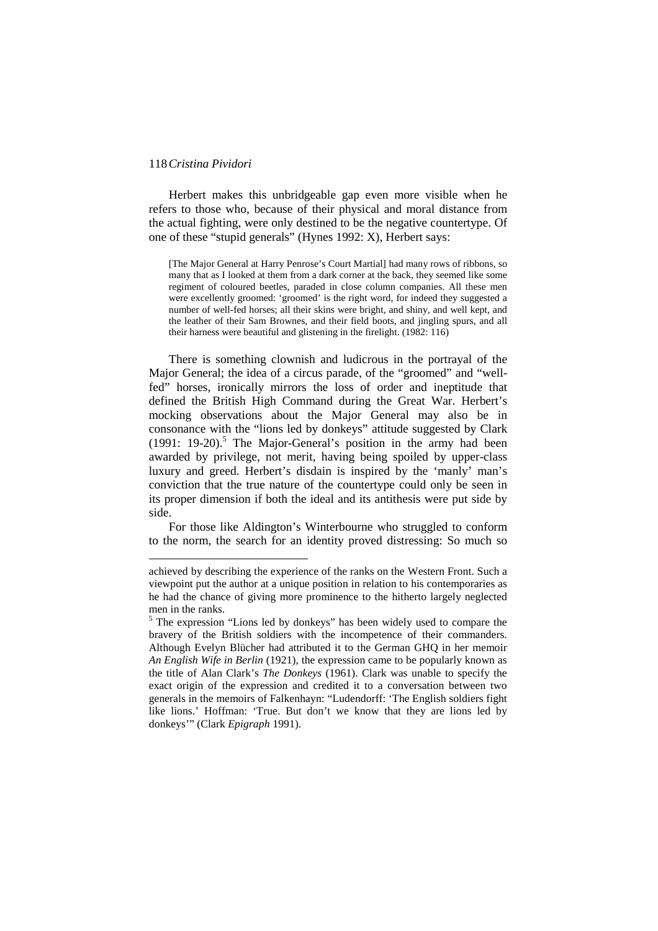$\overline{a}$ 

Herbert makes this unbridgeable gap even more visible when he refers to those who, because of their physical and moral distance from the actual fighting, were only destined to be the negative countertype. Of one of these "stupid generals" (Hynes 1992: X), Herbert says:

[The Major General at Harry Penrose's Court Martial] had many rows of ribbons, so many that as I looked at them from a dark corner at the back, they seemed like some regiment of coloured beetles, paraded in close column companies. All these men were excellently groomed: 'groomed' is the right word, for indeed they suggested a number of well-fed horses; all their skins were bright, and shiny, and well kept, and the leather of their Sam Brownes, and their field boots, and jingling spurs, and all their harness were beautiful and glistening in the firelight. (1982: 116)

There is something clownish and ludicrous in the portrayal of the Major General; the idea of a circus parade, of the "groomed" and "wellfed" horses, ironically mirrors the loss of order and ineptitude that defined the British High Command during the Great War. Herbert's mocking observations about the Major General may also be in consonance with the "lions led by donkeys" attitude suggested by Clark (1991: 19-20).<sup>5</sup> The Major-General's position in the army had been awarded by privilege, not merit, having being spoiled by upper-class luxury and greed. Herbert's disdain is inspired by the 'manly' man's conviction that the true nature of the countertype could only be seen in its proper dimension if both the ideal and its antithesis were put side by side.

For those like Aldington's Winterbourne who struggled to conform to the norm, the search for an identity proved distressing: So much so

achieved by describing the experience of the ranks on the Western Front. Such a viewpoint put the author at a unique position in relation to his contemporaries as he had the chance of giving more prominence to the hitherto largely neglected men in the ranks.

<sup>&</sup>lt;sup>5</sup> The expression "Lions led by donkeys" has been widely used to compare the bravery of the British soldiers with the incompetence of their commanders. Although Evelyn Blücher had attributed it to the German GHQ in her memoir *An English Wife in Berlin* (1921), the expression came to be popularly known as the title of Alan Clark's *The Donkeys* (1961). Clark was unable to specify the exact origin of the expression and credited it to a conversation between two generals in the memoirs of Falkenhayn: "Ludendorff: 'The English soldiers fight like lions.' Hoffman: 'True. But don't we know that they are lions led by donkeys'" (Clark *Epigraph* 1991).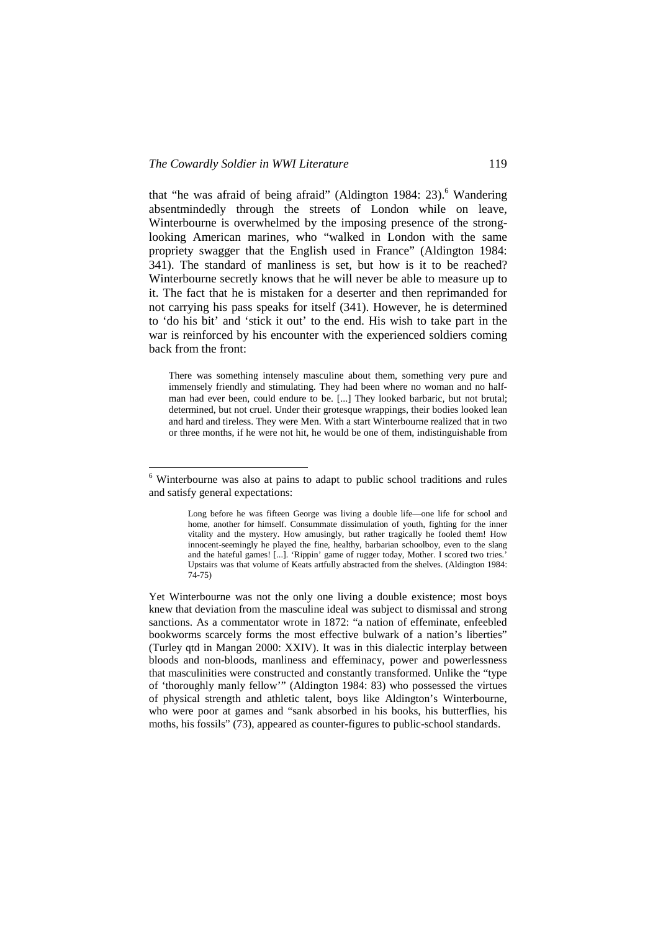that "he was afraid of being afraid" (Aldington 1984: 23).<sup>6</sup> Wandering absentmindedly through the streets of London while on leave, Winterbourne is overwhelmed by the imposing presence of the stronglooking American marines, who "walked in London with the same propriety swagger that the English used in France" (Aldington 1984: 341). The standard of manliness is set, but how is it to be reached? Winterbourne secretly knows that he will never be able to measure up to it. The fact that he is mistaken for a deserter and then reprimanded for not carrying his pass speaks for itself (341). However, he is determined to 'do his bit' and 'stick it out' to the end. His wish to take part in the war is reinforced by his encounter with the experienced soldiers coming back from the front:

There was something intensely masculine about them, something very pure and immensely friendly and stimulating. They had been where no woman and no halfman had ever been, could endure to be. [...] They looked barbaric, but not brutal; determined, but not cruel. Under their grotesque wrappings, their bodies looked lean and hard and tireless. They were Men. With a start Winterbourne realized that in two or three months, if he were not hit, he would be one of them, indistinguishable from

 6 Winterbourne was also at pains to adapt to public school traditions and rules and satisfy general expectations:

Long before he was fifteen George was living a double life—one life for school and home, another for himself. Consummate dissimulation of youth, fighting for the inner vitality and the mystery. How amusingly, but rather tragically he fooled them! How innocent-seemingly he played the fine, healthy, barbarian schoolboy, even to the slang and the hateful games! [...]. 'Rippin' game of rugger today, Mother. I scored two tries.' Upstairs was that volume of Keats artfully abstracted from the shelves. (Aldington 1984: 74-75)

Yet Winterbourne was not the only one living a double existence; most boys knew that deviation from the masculine ideal was subject to dismissal and strong sanctions. As a commentator wrote in 1872: "a nation of effeminate, enfeebled bookworms scarcely forms the most effective bulwark of a nation's liberties" (Turley qtd in Mangan 2000: XXIV). It was in this dialectic interplay between bloods and non-bloods, manliness and effeminacy, power and powerlessness that masculinities were constructed and constantly transformed. Unlike the "type of 'thoroughly manly fellow'" (Aldington 1984: 83) who possessed the virtues of physical strength and athletic talent, boys like Aldington's Winterbourne, who were poor at games and "sank absorbed in his books, his butterflies, his moths, his fossils" (73), appeared as counter-figures to public-school standards.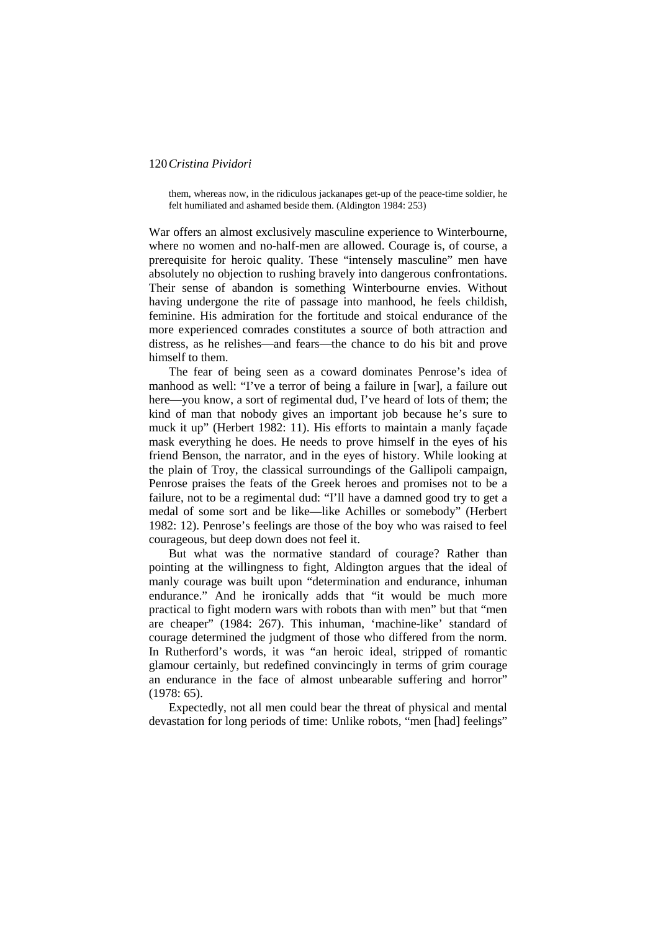them, whereas now, in the ridiculous jackanapes get-up of the peace-time soldier, he felt humiliated and ashamed beside them. (Aldington 1984: 253)

War offers an almost exclusively masculine experience to Winterbourne, where no women and no-half-men are allowed. Courage is, of course, a prerequisite for heroic quality. These "intensely masculine" men have absolutely no objection to rushing bravely into dangerous confrontations. Their sense of abandon is something Winterbourne envies. Without having undergone the rite of passage into manhood, he feels childish, feminine. His admiration for the fortitude and stoical endurance of the more experienced comrades constitutes a source of both attraction and distress, as he relishes—and fears—the chance to do his bit and prove himself to them.

The fear of being seen as a coward dominates Penrose's idea of manhood as well: "I've a terror of being a failure in [war], a failure out here—you know, a sort of regimental dud, I've heard of lots of them; the kind of man that nobody gives an important job because he's sure to muck it up" (Herbert 1982: 11). His efforts to maintain a manly façade mask everything he does. He needs to prove himself in the eyes of his friend Benson, the narrator, and in the eyes of history. While looking at the plain of Troy, the classical surroundings of the Gallipoli campaign, Penrose praises the feats of the Greek heroes and promises not to be a failure, not to be a regimental dud: "I'll have a damned good try to get a medal of some sort and be like—like Achilles or somebody" (Herbert 1982: 12). Penrose's feelings are those of the boy who was raised to feel courageous, but deep down does not feel it.

But what was the normative standard of courage? Rather than pointing at the willingness to fight, Aldington argues that the ideal of manly courage was built upon "determination and endurance, inhuman endurance." And he ironically adds that "it would be much more practical to fight modern wars with robots than with men" but that "men are cheaper" (1984: 267). This inhuman, 'machine-like' standard of courage determined the judgment of those who differed from the norm. In Rutherford's words, it was "an heroic ideal, stripped of romantic glamour certainly, but redefined convincingly in terms of grim courage an endurance in the face of almost unbearable suffering and horror" (1978: 65).

Expectedly, not all men could bear the threat of physical and mental devastation for long periods of time: Unlike robots, "men [had] feelings"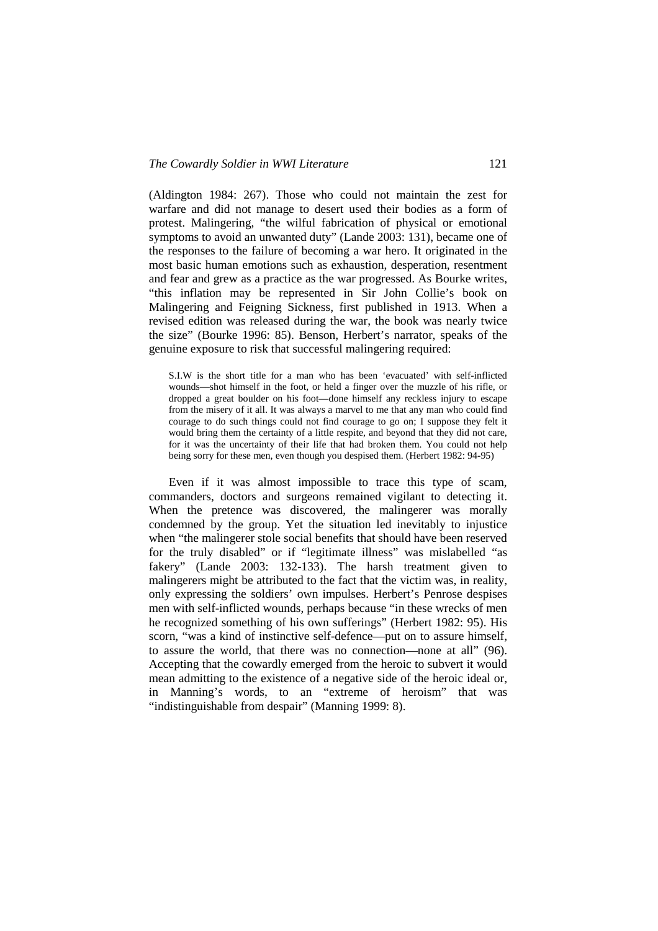(Aldington 1984: 267). Those who could not maintain the zest for warfare and did not manage to desert used their bodies as a form of protest. Malingering, "the wilful fabrication of physical or emotional symptoms to avoid an unwanted duty" (Lande 2003: 131), became one of the responses to the failure of becoming a war hero. It originated in the most basic human emotions such as exhaustion, desperation, resentment and fear and grew as a practice as the war progressed. As Bourke writes, "this inflation may be represented in Sir John Collie's book on Malingering and Feigning Sickness, first published in 1913. When a revised edition was released during the war, the book was nearly twice the size" (Bourke 1996: 85). Benson, Herbert's narrator, speaks of the genuine exposure to risk that successful malingering required:

S.I.W is the short title for a man who has been 'evacuated' with self-inflicted wounds—shot himself in the foot, or held a finger over the muzzle of his rifle, or dropped a great boulder on his foot—done himself any reckless injury to escape from the misery of it all. It was always a marvel to me that any man who could find courage to do such things could not find courage to go on; I suppose they felt it would bring them the certainty of a little respite, and beyond that they did not care, for it was the uncertainty of their life that had broken them. You could not help being sorry for these men, even though you despised them. (Herbert 1982: 94-95)

Even if it was almost impossible to trace this type of scam, commanders, doctors and surgeons remained vigilant to detecting it. When the pretence was discovered, the malingerer was morally condemned by the group. Yet the situation led inevitably to injustice when "the malingerer stole social benefits that should have been reserved for the truly disabled" or if "legitimate illness" was mislabelled "as fakery" (Lande 2003: 132-133). The harsh treatment given to malingerers might be attributed to the fact that the victim was, in reality, only expressing the soldiers' own impulses. Herbert's Penrose despises men with self-inflicted wounds, perhaps because "in these wrecks of men he recognized something of his own sufferings" (Herbert 1982: 95). His scorn, "was a kind of instinctive self-defence—put on to assure himself, to assure the world, that there was no connection—none at all" (96). Accepting that the cowardly emerged from the heroic to subvert it would mean admitting to the existence of a negative side of the heroic ideal or, in Manning's words, to an "extreme of heroism" that was "indistinguishable from despair" (Manning 1999: 8).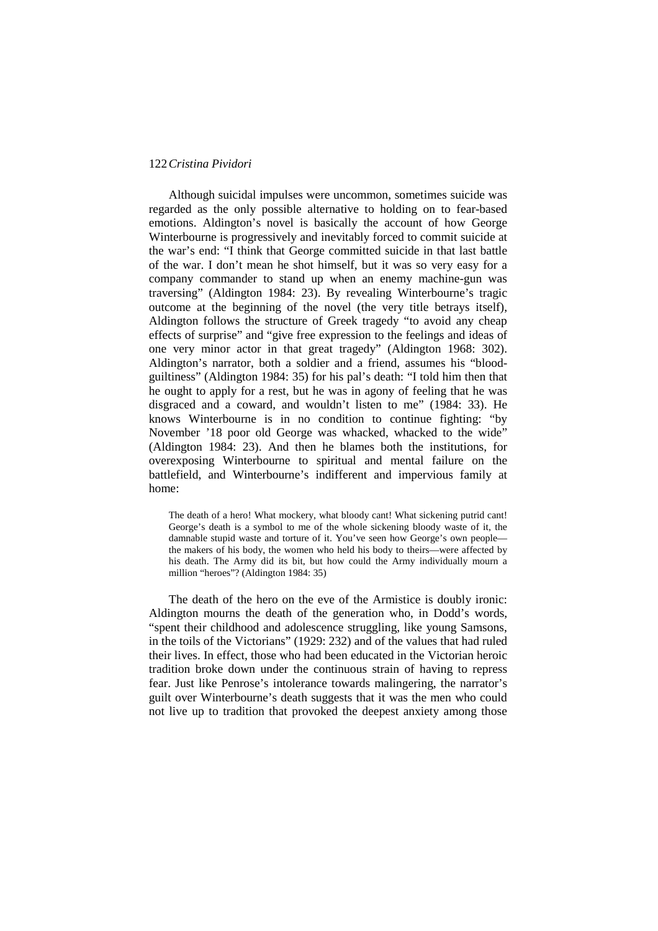Although suicidal impulses were uncommon, sometimes suicide was regarded as the only possible alternative to holding on to fear-based emotions. Aldington's novel is basically the account of how George Winterbourne is progressively and inevitably forced to commit suicide at the war's end: "I think that George committed suicide in that last battle of the war. I don't mean he shot himself, but it was so very easy for a company commander to stand up when an enemy machine-gun was traversing" (Aldington 1984: 23). By revealing Winterbourne's tragic outcome at the beginning of the novel (the very title betrays itself), Aldington follows the structure of Greek tragedy "to avoid any cheap effects of surprise" and "give free expression to the feelings and ideas of one very minor actor in that great tragedy" (Aldington 1968: 302). Aldington's narrator, both a soldier and a friend, assumes his "bloodguiltiness" (Aldington 1984: 35) for his pal's death: "I told him then that he ought to apply for a rest, but he was in agony of feeling that he was disgraced and a coward, and wouldn't listen to me" (1984: 33). He knows Winterbourne is in no condition to continue fighting: "by November '18 poor old George was whacked, whacked to the wide" (Aldington 1984: 23). And then he blames both the institutions, for overexposing Winterbourne to spiritual and mental failure on the battlefield, and Winterbourne's indifferent and impervious family at home:

The death of a hero! What mockery, what bloody cant! What sickening putrid cant! George's death is a symbol to me of the whole sickening bloody waste of it, the damnable stupid waste and torture of it. You've seen how George's own people the makers of his body, the women who held his body to theirs—were affected by his death. The Army did its bit, but how could the Army individually mourn a million "heroes"? (Aldington 1984: 35)

The death of the hero on the eve of the Armistice is doubly ironic: Aldington mourns the death of the generation who, in Dodd's words, "spent their childhood and adolescence struggling, like young Samsons, in the toils of the Victorians" (1929: 232) and of the values that had ruled their lives. In effect, those who had been educated in the Victorian heroic tradition broke down under the continuous strain of having to repress fear. Just like Penrose's intolerance towards malingering, the narrator's guilt over Winterbourne's death suggests that it was the men who could not live up to tradition that provoked the deepest anxiety among those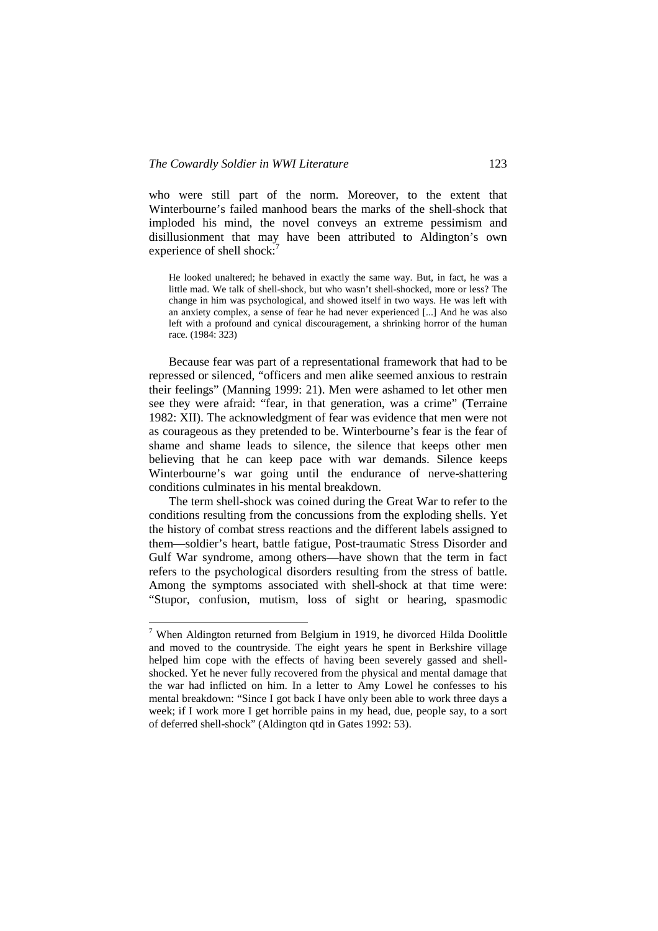who were still part of the norm. Moreover, to the extent that Winterbourne's failed manhood bears the marks of the shell-shock that imploded his mind, the novel conveys an extreme pessimism and disillusionment that may have been attributed to Aldington's own experience of shell shock:<sup>7</sup>

He looked unaltered; he behaved in exactly the same way. But, in fact, he was a little mad. We talk of shell-shock, but who wasn't shell-shocked, more or less? The change in him was psychological, and showed itself in two ways. He was left with an anxiety complex, a sense of fear he had never experienced [...] And he was also left with a profound and cynical discouragement, a shrinking horror of the human race. (1984: 323)

Because fear was part of a representational framework that had to be repressed or silenced, "officers and men alike seemed anxious to restrain their feelings" (Manning 1999: 21). Men were ashamed to let other men see they were afraid: "fear, in that generation, was a crime" (Terraine 1982: XII). The acknowledgment of fear was evidence that men were not as courageous as they pretended to be. Winterbourne's fear is the fear of shame and shame leads to silence, the silence that keeps other men believing that he can keep pace with war demands. Silence keeps Winterbourne's war going until the endurance of nerve-shattering conditions culminates in his mental breakdown.

The term shell-shock was coined during the Great War to refer to the conditions resulting from the concussions from the exploding shells. Yet the history of combat stress reactions and the different labels assigned to them—soldier's heart, battle fatigue, Post-traumatic Stress Disorder and Gulf War syndrome, among others—have shown that the term in fact refers to the psychological disorders resulting from the stress of battle. Among the symptoms associated with shell-shock at that time were: "Stupor, confusion, mutism, loss of sight or hearing, spasmodic

<sup>&</sup>lt;sup>7</sup> When Aldington returned from Belgium in 1919, he divorced Hilda Doolittle and moved to the countryside. The eight years he spent in Berkshire village helped him cope with the effects of having been severely gassed and shellshocked. Yet he never fully recovered from the physical and mental damage that the war had inflicted on him. In a letter to Amy Lowel he confesses to his mental breakdown: "Since I got back I have only been able to work three days a week; if I work more I get horrible pains in my head, due, people say, to a sort of deferred shell-shock" (Aldington qtd in Gates 1992: 53).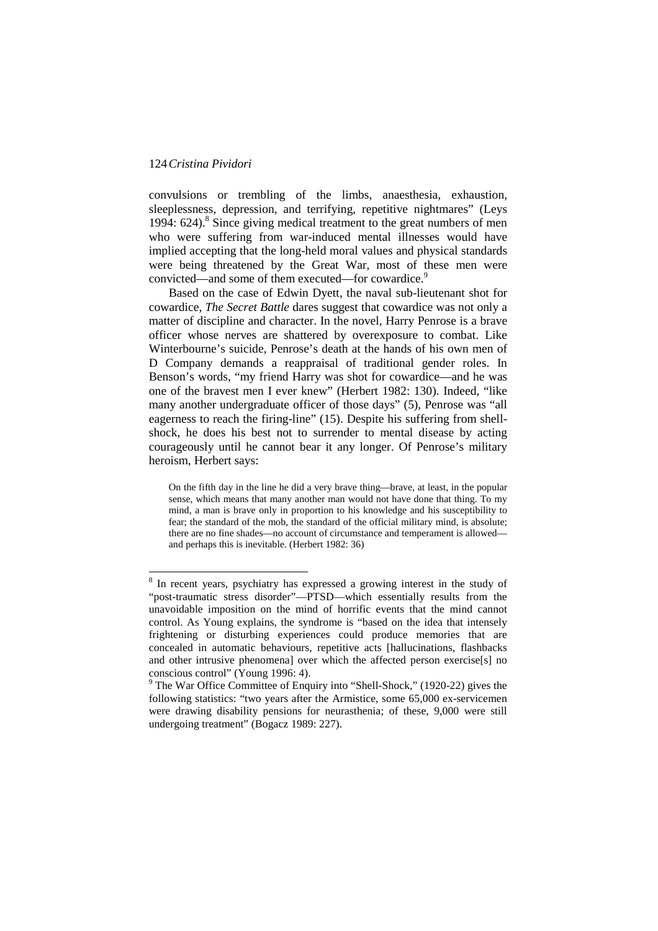$\overline{a}$ 

convulsions or trembling of the limbs, anaesthesia, exhaustion, sleeplessness, depression, and terrifying, repetitive nightmares" (Leys 1994: 624).<sup>8</sup> Since giving medical treatment to the great numbers of men who were suffering from war-induced mental illnesses would have implied accepting that the long-held moral values and physical standards were being threatened by the Great War, most of these men were convicted—and some of them executed—for cowardice.<sup>9</sup>

Based on the case of Edwin Dyett, the naval sub-lieutenant shot for cowardice, *The Secret Battle* dares suggest that cowardice was not only a matter of discipline and character. In the novel, Harry Penrose is a brave officer whose nerves are shattered by overexposure to combat. Like Winterbourne's suicide, Penrose's death at the hands of his own men of D Company demands a reappraisal of traditional gender roles. In Benson's words, "my friend Harry was shot for cowardice—and he was one of the bravest men I ever knew" (Herbert 1982: 130). Indeed, "like many another undergraduate officer of those days" (5), Penrose was "all eagerness to reach the firing-line" (15). Despite his suffering from shellshock, he does his best not to surrender to mental disease by acting courageously until he cannot bear it any longer. Of Penrose's military heroism, Herbert says:

On the fifth day in the line he did a very brave thing—brave, at least, in the popular sense, which means that many another man would not have done that thing. To my mind, a man is brave only in proportion to his knowledge and his susceptibility to fear; the standard of the mob, the standard of the official military mind, is absolute; there are no fine shades—no account of circumstance and temperament is allowed and perhaps this is inevitable. (Herbert 1982: 36)

<sup>&</sup>lt;sup>8</sup> In recent years, psychiatry has expressed a growing interest in the study of "post-traumatic stress disorder"—PTSD—which essentially results from the unavoidable imposition on the mind of horrific events that the mind cannot control. As Young explains, the syndrome is "based on the idea that intensely frightening or disturbing experiences could produce memories that are concealed in automatic behaviours, repetitive acts [hallucinations, flashbacks and other intrusive phenomena] over which the affected person exercise[s] no conscious control" (Young 1996: 4).

<sup>&</sup>lt;sup>9</sup> The War Office Committee of Enquiry into "Shell-Shock," (1920-22) gives the following statistics: "two years after the Armistice, some 65,000 ex-servicemen were drawing disability pensions for neurasthenia; of these, 9,000 were still undergoing treatment" (Bogacz 1989: 227).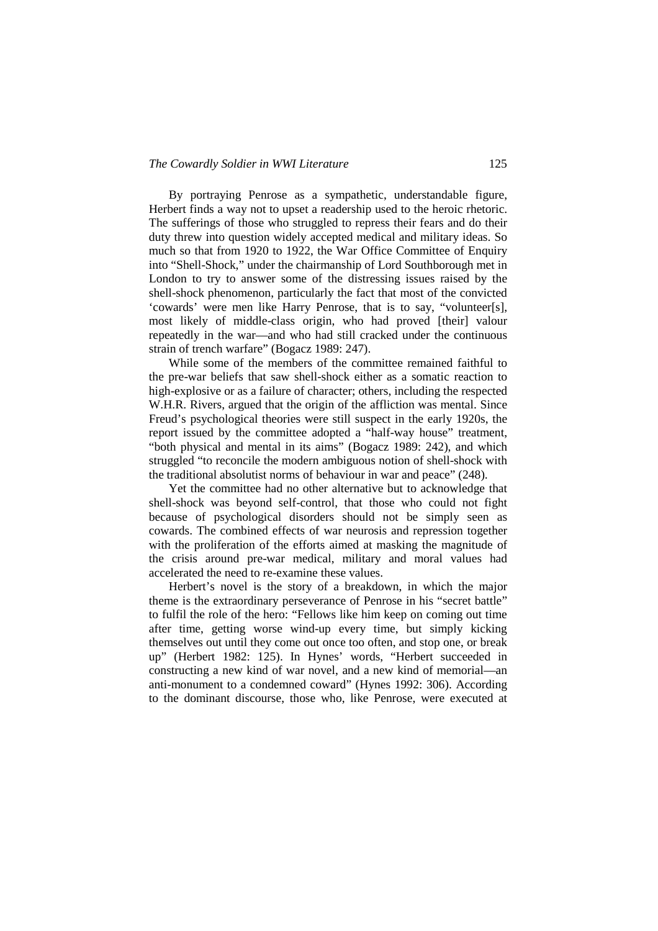#### *The Cowardly Soldier in WWI Literature* 125

By portraying Penrose as a sympathetic, understandable figure, Herbert finds a way not to upset a readership used to the heroic rhetoric. The sufferings of those who struggled to repress their fears and do their duty threw into question widely accepted medical and military ideas. So much so that from 1920 to 1922, the War Office Committee of Enquiry into "Shell-Shock," under the chairmanship of Lord Southborough met in London to try to answer some of the distressing issues raised by the shell-shock phenomenon, particularly the fact that most of the convicted 'cowards' were men like Harry Penrose, that is to say, "volunteer[s], most likely of middle-class origin, who had proved [their] valour repeatedly in the war—and who had still cracked under the continuous strain of trench warfare" (Bogacz 1989: 247).

While some of the members of the committee remained faithful to the pre-war beliefs that saw shell-shock either as a somatic reaction to high-explosive or as a failure of character; others, including the respected W.H.R. Rivers, argued that the origin of the affliction was mental. Since Freud's psychological theories were still suspect in the early 1920s, the report issued by the committee adopted a "half-way house" treatment, "both physical and mental in its aims" (Bogacz 1989: 242), and which struggled "to reconcile the modern ambiguous notion of shell-shock with the traditional absolutist norms of behaviour in war and peace" (248).

Yet the committee had no other alternative but to acknowledge that shell-shock was beyond self-control, that those who could not fight because of psychological disorders should not be simply seen as cowards. The combined effects of war neurosis and repression together with the proliferation of the efforts aimed at masking the magnitude of the crisis around pre-war medical, military and moral values had accelerated the need to re-examine these values.

Herbert's novel is the story of a breakdown, in which the major theme is the extraordinary perseverance of Penrose in his "secret battle" to fulfil the role of the hero: "Fellows like him keep on coming out time after time, getting worse wind-up every time, but simply kicking themselves out until they come out once too often, and stop one, or break up" (Herbert 1982: 125). In Hynes' words, "Herbert succeeded in constructing a new kind of war novel, and a new kind of memorial—an anti-monument to a condemned coward" (Hynes 1992: 306). According to the dominant discourse, those who, like Penrose, were executed at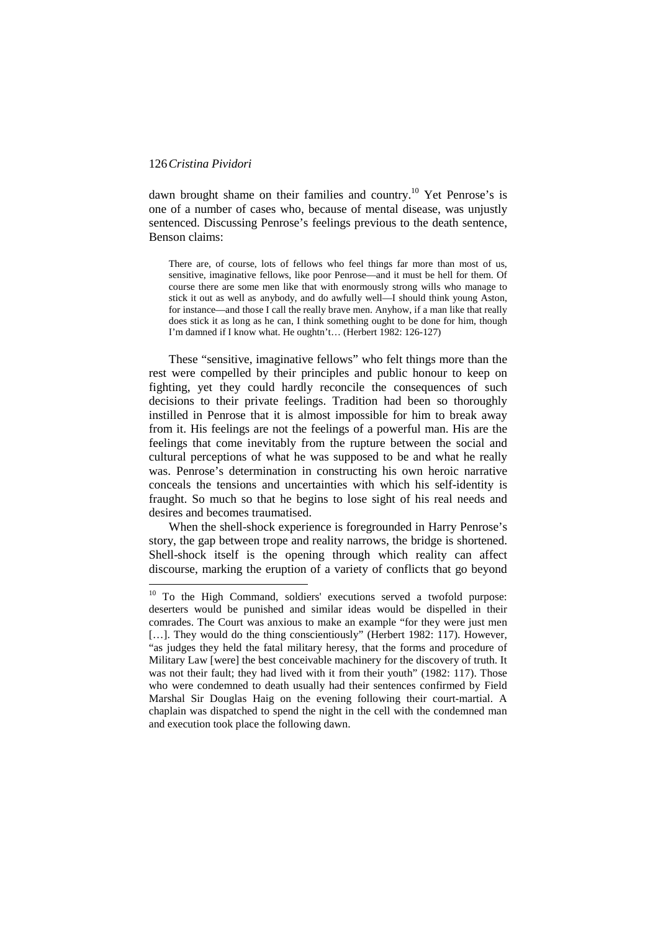$\overline{a}$ 

dawn brought shame on their families and country.<sup>10</sup> Yet Penrose's is one of a number of cases who, because of mental disease, was unjustly sentenced. Discussing Penrose's feelings previous to the death sentence, Benson claims:

There are, of course, lots of fellows who feel things far more than most of us, sensitive, imaginative fellows, like poor Penrose—and it must be hell for them. Of course there are some men like that with enormously strong wills who manage to stick it out as well as anybody, and do awfully well—I should think young Aston, for instance—and those I call the really brave men. Anyhow, if a man like that really does stick it as long as he can, I think something ought to be done for him, though I'm damned if I know what. He oughtn't… (Herbert 1982: 126-127)

These "sensitive, imaginative fellows" who felt things more than the rest were compelled by their principles and public honour to keep on fighting, yet they could hardly reconcile the consequences of such decisions to their private feelings. Tradition had been so thoroughly instilled in Penrose that it is almost impossible for him to break away from it. His feelings are not the feelings of a powerful man. His are the feelings that come inevitably from the rupture between the social and cultural perceptions of what he was supposed to be and what he really was. Penrose's determination in constructing his own heroic narrative conceals the tensions and uncertainties with which his self-identity is fraught. So much so that he begins to lose sight of his real needs and desires and becomes traumatised.

When the shell-shock experience is foregrounded in Harry Penrose's story, the gap between trope and reality narrows, the bridge is shortened. Shell-shock itself is the opening through which reality can affect discourse, marking the eruption of a variety of conflicts that go beyond

<sup>&</sup>lt;sup>10</sup> To the High Command, soldiers' executions served a twofold purpose: deserters would be punished and similar ideas would be dispelled in their comrades. The Court was anxious to make an example "for they were just men [...]. They would do the thing conscientiously" (Herbert 1982: 117). However, "as judges they held the fatal military heresy, that the forms and procedure of Military Law [were] the best conceivable machinery for the discovery of truth. It was not their fault; they had lived with it from their youth" (1982: 117). Those who were condemned to death usually had their sentences confirmed by Field Marshal Sir Douglas Haig on the evening following their court-martial. A chaplain was dispatched to spend the night in the cell with the condemned man and execution took place the following dawn.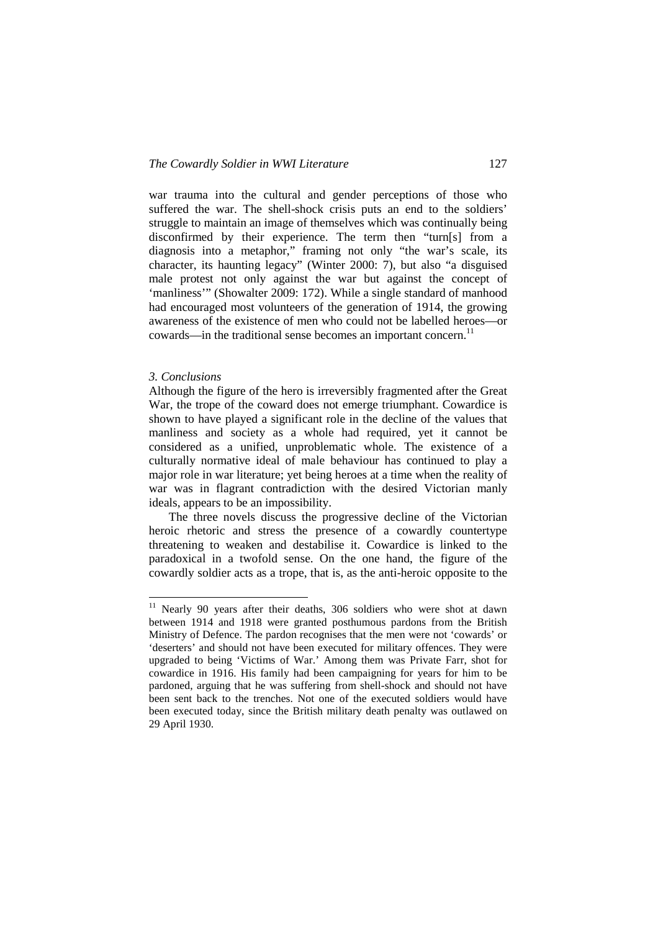war trauma into the cultural and gender perceptions of those who suffered the war. The shell-shock crisis puts an end to the soldiers' struggle to maintain an image of themselves which was continually being disconfirmed by their experience. The term then "turn[s] from a diagnosis into a metaphor," framing not only "the war's scale, its character, its haunting legacy" (Winter 2000: 7), but also "a disguised male protest not only against the war but against the concept of 'manliness'" (Showalter 2009: 172). While a single standard of manhood had encouraged most volunteers of the generation of 1914, the growing awareness of the existence of men who could not be labelled heroes—or cowards—in the traditional sense becomes an important concern.<sup>11</sup>

### *3. Conclusions*

 $\overline{a}$ 

Although the figure of the hero is irreversibly fragmented after the Great War, the trope of the coward does not emerge triumphant. Cowardice is shown to have played a significant role in the decline of the values that manliness and society as a whole had required, yet it cannot be considered as a unified, unproblematic whole. The existence of a culturally normative ideal of male behaviour has continued to play a major role in war literature; yet being heroes at a time when the reality of war was in flagrant contradiction with the desired Victorian manly ideals, appears to be an impossibility.

The three novels discuss the progressive decline of the Victorian heroic rhetoric and stress the presence of a cowardly countertype threatening to weaken and destabilise it. Cowardice is linked to the paradoxical in a twofold sense. On the one hand, the figure of the cowardly soldier acts as a trope, that is, as the anti-heroic opposite to the

<sup>&</sup>lt;sup>11</sup> Nearly 90 years after their deaths, 306 soldiers who were shot at dawn between 1914 and 1918 were granted posthumous pardons from the British Ministry of Defence. The pardon recognises that the men were not 'cowards' or 'deserters' and should not have been executed for military offences. They were upgraded to being 'Victims of War.' Among them was Private Farr, shot for cowardice in 1916. His family had been campaigning for years for him to be pardoned, arguing that he was suffering from shell-shock and should not have been sent back to the trenches. Not one of the executed soldiers would have been executed today, since the British military death penalty was outlawed on 29 April 1930.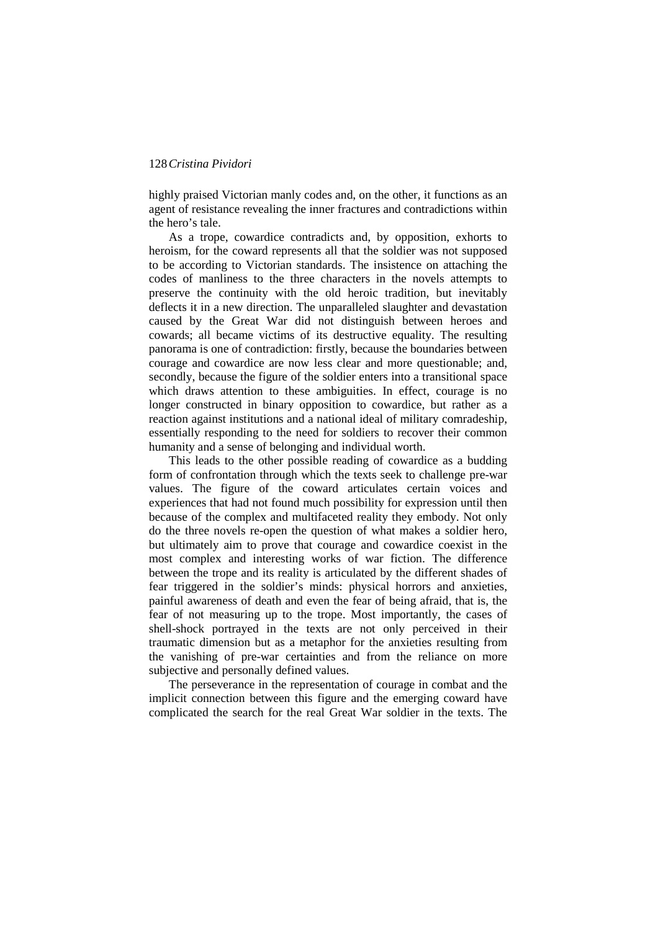highly praised Victorian manly codes and, on the other, it functions as an agent of resistance revealing the inner fractures and contradictions within the hero's tale.

As a trope, cowardice contradicts and, by opposition, exhorts to heroism, for the coward represents all that the soldier was not supposed to be according to Victorian standards. The insistence on attaching the codes of manliness to the three characters in the novels attempts to preserve the continuity with the old heroic tradition, but inevitably deflects it in a new direction. The unparalleled slaughter and devastation caused by the Great War did not distinguish between heroes and cowards; all became victims of its destructive equality. The resulting panorama is one of contradiction: firstly, because the boundaries between courage and cowardice are now less clear and more questionable; and, secondly, because the figure of the soldier enters into a transitional space which draws attention to these ambiguities. In effect, courage is no longer constructed in binary opposition to cowardice, but rather as a reaction against institutions and a national ideal of military comradeship, essentially responding to the need for soldiers to recover their common humanity and a sense of belonging and individual worth.

This leads to the other possible reading of cowardice as a budding form of confrontation through which the texts seek to challenge pre-war values. The figure of the coward articulates certain voices and experiences that had not found much possibility for expression until then because of the complex and multifaceted reality they embody. Not only do the three novels re-open the question of what makes a soldier hero, but ultimately aim to prove that courage and cowardice coexist in the most complex and interesting works of war fiction. The difference between the trope and its reality is articulated by the different shades of fear triggered in the soldier's minds: physical horrors and anxieties, painful awareness of death and even the fear of being afraid, that is, the fear of not measuring up to the trope. Most importantly, the cases of shell-shock portrayed in the texts are not only perceived in their traumatic dimension but as a metaphor for the anxieties resulting from the vanishing of pre-war certainties and from the reliance on more subjective and personally defined values.

The perseverance in the representation of courage in combat and the implicit connection between this figure and the emerging coward have complicated the search for the real Great War soldier in the texts. The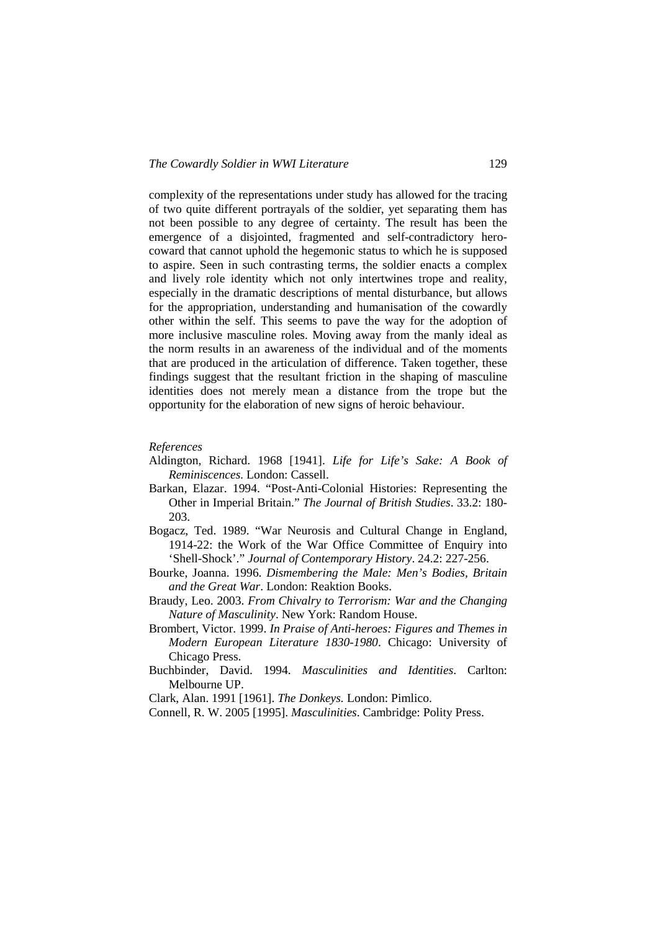complexity of the representations under study has allowed for the tracing of two quite different portrayals of the soldier, yet separating them has not been possible to any degree of certainty. The result has been the emergence of a disjointed, fragmented and self-contradictory herocoward that cannot uphold the hegemonic status to which he is supposed to aspire. Seen in such contrasting terms, the soldier enacts a complex and lively role identity which not only intertwines trope and reality, especially in the dramatic descriptions of mental disturbance, but allows for the appropriation, understanding and humanisation of the cowardly other within the self. This seems to pave the way for the adoption of more inclusive masculine roles. Moving away from the manly ideal as the norm results in an awareness of the individual and of the moments that are produced in the articulation of difference. Taken together, these findings suggest that the resultant friction in the shaping of masculine identities does not merely mean a distance from the trope but the opportunity for the elaboration of new signs of heroic behaviour.

### *References*

- Aldington, Richard. 1968 [1941]. *Life for Life's Sake: A Book of Reminiscences.* London: Cassell.
- Barkan, Elazar. 1994. "Post-Anti-Colonial Histories: Representing the Other in Imperial Britain." *The Journal of British Studies*. 33.2: 180- 203.
- Bogacz, Ted. 1989. "War Neurosis and Cultural Change in England, 1914-22: the Work of the War Office Committee of Enquiry into 'Shell-Shock'." *Journal of Contemporary History*. 24.2: 227-256.
- Bourke, Joanna. 1996. *Dismembering the Male: Men's Bodies, Britain and the Great War*. London: Reaktion Books.
- Braudy, Leo. 2003. *From Chivalry to Terrorism: War and the Changing Nature of Masculinity*. New York: Random House.
- Brombert, Victor. 1999. *In Praise of Anti-heroes: Figures and Themes in Modern European Literature 1830-1980*. Chicago: University of Chicago Press.
- Buchbinder, David. 1994. *Masculinities and Identities*. Carlton: Melbourne UP.

Clark, Alan. 1991 [1961]. *The Donkeys.* London: Pimlico.

Connell, R. W. 2005 [1995]. *Masculinities*. Cambridge: Polity Press.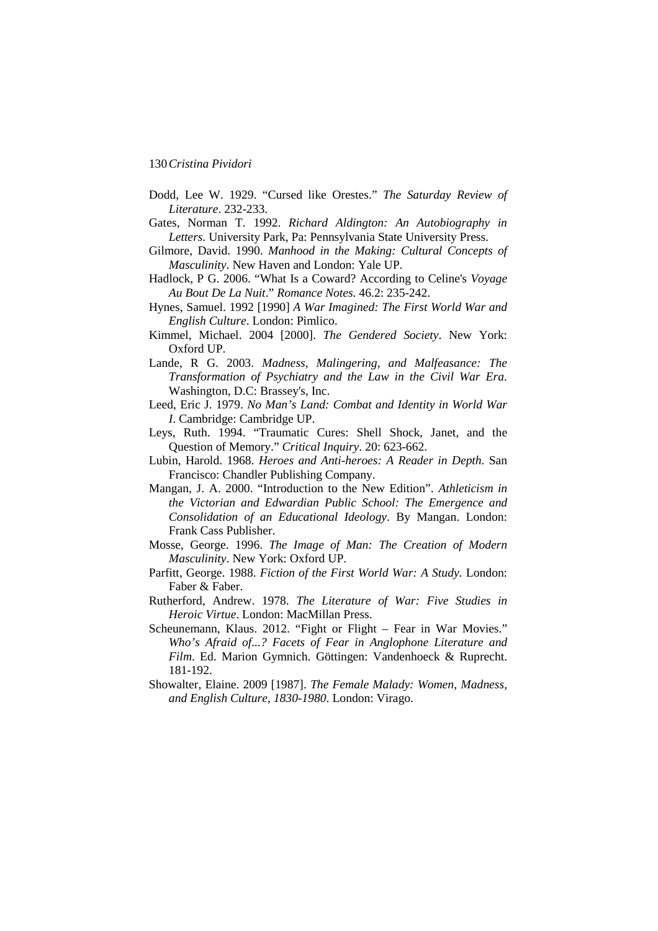- Dodd, Lee W. 1929. "Cursed like Orestes." *The Saturday Review of Literature*. 232-233.
- Gates, Norman T. 1992. *Richard Aldington: An Autobiography in Letters.* University Park, Pa: Pennsylvania State University Press.
- Gilmore, David. 1990. *Manhood in the Making: Cultural Concepts of Masculinity*. New Haven and London: Yale UP.
- Hadlock, P G. 2006. "What Is a Coward? According to Celine's *Voyage Au Bout De La Nuit*." *Romance Notes.* 46.2: 235-242.
- Hynes, Samuel. 1992 [1990] *A War Imagined: The First World War and English Culture*. London: Pimlico.
- Kimmel, Michael. 2004 [2000]. *The Gendered Society*. New York: Oxford UP.
- Lande, R G. 2003. *Madness, Malingering, and Malfeasance: The Transformation of Psychiatry and the Law in the Civil War Era*. Washington, D.C: Brassey's, Inc.
- Leed, Eric J. 1979. *No Man's Land: Combat and Identity in World War I*. Cambridge: Cambridge UP.
- Leys, Ruth. 1994. "Traumatic Cures: Shell Shock, Janet, and the Question of Memory." *Critical Inquiry*. 20: 623-662.
- Lubin, Harold. 1968. *Heroes and Anti-heroes: A Reader in Depth.* San Francisco: Chandler Publishing Company.
- Mangan, J. A. 2000. "Introduction to the New Edition". *Athleticism in the Victorian and Edwardian Public School: The Emergence and Consolidation of an Educational Ideology*. By Mangan. London: Frank Cass Publisher.
- Mosse, George. 1996. *The Image of Man: The Creation of Modern Masculinity*. New York: Oxford UP.
- Parfitt, George. 1988. *Fiction of the First World War: A Study.* London: Faber & Faber.
- Rutherford, Andrew. 1978. *The Literature of War: Five Studies in Heroic Virtue*. London: MacMillan Press.
- Scheunemann, Klaus. 2012. "Fight or Flight Fear in War Movies." *Who's Afraid of...? Facets of Fear in Anglophone Literature and Film*. Ed. Marion Gymnich. Göttingen: Vandenhoeck & Ruprecht. 181-192.
- Showalter, Elaine. 2009 [1987]. *The Female Malady: Women, Madness, and English Culture, 1830-1980*. London: Virago.